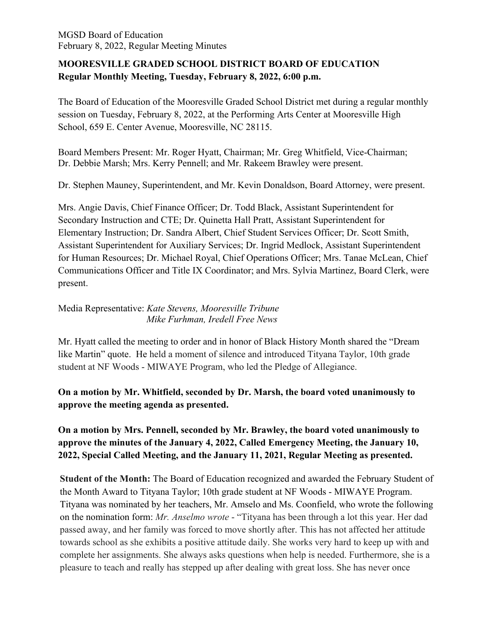# **MOORESVILLE GRADED SCHOOL DISTRICT BOARD OF EDUCATION Regular Monthly Meeting, Tuesday, February 8, 2022, 6:00 p.m.**

The Board of Education of the Mooresville Graded School District met during a regular monthly session on Tuesday, February 8, 2022, at the Performing Arts Center at Mooresville High School, 659 E. Center Avenue, Mooresville, NC 28115.

Board Members Present: Mr. Roger Hyatt, Chairman; Mr. Greg Whitfield, Vice-Chairman; Dr. Debbie Marsh; Mrs. Kerry Pennell; and Mr. Rakeem Brawley were present.

Dr. Stephen Mauney, Superintendent, and Mr. Kevin Donaldson, Board Attorney, were present.

Mrs. Angie Davis, Chief Finance Officer; Dr. Todd Black, Assistant Superintendent for Secondary Instruction and CTE; Dr. Quinetta Hall Pratt, Assistant Superintendent for Elementary Instruction; Dr. Sandra Albert, Chief Student Services Officer; Dr. Scott Smith, Assistant Superintendent for Auxiliary Services; Dr. Ingrid Medlock, Assistant Superintendent for Human Resources; Dr. Michael Royal, Chief Operations Officer; Mrs. Tanae McLean, Chief Communications Officer and Title IX Coordinator; and Mrs. Sylvia Martinez, Board Clerk, were present.

# Media Representative: *Kate Stevens, Mooresville Tribune Mike Furhman, Iredell Free News*

Mr. Hyatt called the meeting to order and in honor of Black History Month shared the "Dream like Martin" quote. He held a moment of silence and introduced Tityana Taylor, 10th grade student at NF Woods - MIWAYE Program, who led the Pledge of Allegiance.

# **On a motion by Mr. Whitfield, seconded by Dr. Marsh, the board voted unanimously to approve the meeting agenda as presented.**

**On a motion by Mrs. Pennell, seconded by Mr. Brawley, the board voted unanimously to approve the minutes of the January 4, 2022, Called Emergency Meeting, the January 10, 2022, Special Called Meeting, and the January 11, 2021, Regular Meeting as presented.**

**Student of the Month:** The Board of Education recognized and awarded the February Student of the Month Award to Tityana Taylor; 10th grade student at NF Woods - MIWAYE Program. Tityana was nominated by her teachers, Mr. Amselo and Ms. Coonfield, who wrote the following on the nomination form: *Mr. Anselmo wrote* - "Tityana has been through a lot this year. Her dad passed away, and her family was forced to move shortly after. This has not affected her attitude towards school as she exhibits a positive attitude daily. She works very hard to keep up with and complete her assignments. She always asks questions when help is needed. Furthermore, she is a pleasure to teach and really has stepped up after dealing with great loss. She has never once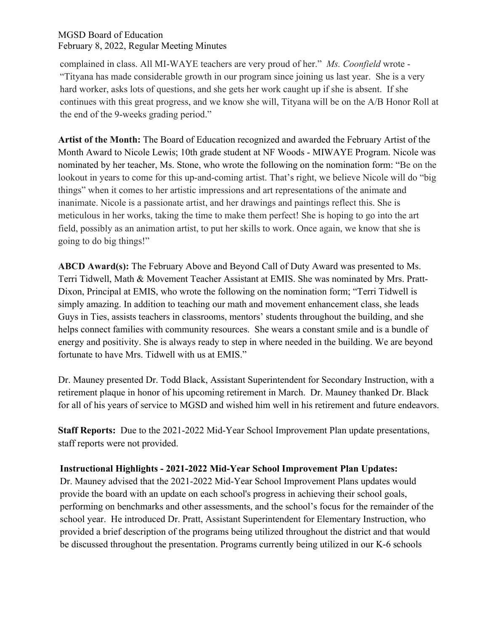complained in class. All MI-WAYE teachers are very proud of her." *Ms. Coonfield* wrote - "Tityana has made considerable growth in our program since joining us last year. She is a very hard worker, asks lots of questions, and she gets her work caught up if she is absent. If she continues with this great progress, and we know she will, Tityana will be on the A/B Honor Roll at the end of the 9-weeks grading period."

**Artist of the Month:** The Board of Education recognized and awarded the February Artist of the Month Award to Nicole Lewis; 10th grade student at NF Woods - MIWAYE Program. Nicole was nominated by her teacher, Ms. Stone, who wrote the following on the nomination form: "Be on the lookout in years to come for this up-and-coming artist. That's right, we believe Nicole will do "big things" when it comes to her artistic impressions and art representations of the animate and inanimate. Nicole is a passionate artist, and her drawings and paintings reflect this. She is meticulous in her works, taking the time to make them perfect! She is hoping to go into the art field, possibly as an animation artist, to put her skills to work. Once again, we know that she is going to do big things!"

**ABCD Award(s):** The February Above and Beyond Call of Duty Award was presented to Ms. Terri Tidwell, Math & Movement Teacher Assistant at EMIS. She was nominated by Mrs. Pratt-Dixon, Principal at EMIS, who wrote the following on the nomination form; "Terri Tidwell is simply amazing. In addition to teaching our math and movement enhancement class, she leads Guys in Ties, assists teachers in classrooms, mentors' students throughout the building, and she helps connect families with community resources. She wears a constant smile and is a bundle of energy and positivity. She is always ready to step in where needed in the building. We are beyond fortunate to have Mrs. Tidwell with us at EMIS."

Dr. Mauney presented Dr. Todd Black, Assistant Superintendent for Secondary Instruction, with a retirement plaque in honor of his upcoming retirement in March. Dr. Mauney thanked Dr. Black for all of his years of service to MGSD and wished him well in his retirement and future endeavors.

**Staff Reports:** Due to the 2021-2022 Mid-Year School Improvement Plan update presentations, staff reports were not provided.

## **Instructional Highlights - 2021-2022 Mid-Year School Improvement Plan Updates:**

Dr. Mauney advised that the 2021-2022 Mid-Year School Improvement Plans updates would provide the board with an update on each school's progress in achieving their school goals, performing on benchmarks and other assessments, and the school's focus for the remainder of the school year. He introduced Dr. Pratt, Assistant Superintendent for Elementary Instruction, who provided a brief description of the programs being utilized throughout the district and that would be discussed throughout the presentation. Programs currently being utilized in our K-6 schools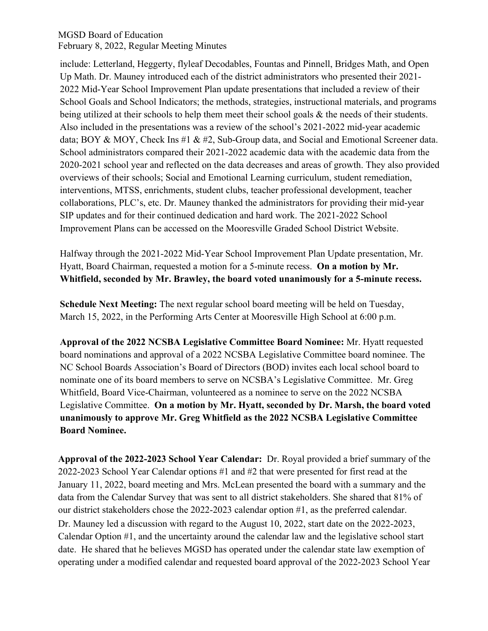include: Letterland, Heggerty, flyleaf Decodables, Fountas and Pinnell, Bridges Math, and Open Up Math. Dr. Mauney introduced each of the district administrators who presented their 2021- 2022 Mid-Year School Improvement Plan update presentations that included a review of their School Goals and School Indicators; the methods, strategies, instructional materials, and programs being utilized at their schools to help them meet their school goals & the needs of their students. Also included in the presentations was a review of the school's 2021-2022 mid-year academic data; BOY & MOY, Check Ins #1 & #2, Sub-Group data, and Social and Emotional Screener data. School administrators compared their 2021-2022 academic data with the academic data from the 2020-2021 school year and reflected on the data decreases and areas of growth. They also provided overviews of their schools; Social and Emotional Learning curriculum, student remediation, interventions, MTSS, enrichments, student clubs, teacher professional development, teacher collaborations, PLC's, etc. Dr. Mauney thanked the administrators for providing their mid-year SIP updates and for their continued dedication and hard work. The 2021-2022 School Improvement Plans can be accessed on the Mooresville Graded School District Website.

Halfway through the 2021-2022 Mid-Year School Improvement Plan Update presentation, Mr. Hyatt, Board Chairman, requested a motion for a 5-minute recess. **On a motion by Mr. Whitfield, seconded by Mr. Brawley, the board voted unanimously for a 5-minute recess.** 

**Schedule Next Meeting:** The next regular school board meeting will be held on Tuesday, March 15, 2022, in the Performing Arts Center at Mooresville High School at 6:00 p.m.

**Approval of the 2022 NCSBA Legislative Committee Board Nominee:** Mr. Hyatt requested board nominations and approval of a 2022 NCSBA Legislative Committee board nominee. The NC School Boards Association's Board of Directors (BOD) invites each local school board to nominate one of its board members to serve on NCSBA's Legislative Committee. Mr. Greg Whitfield, Board Vice-Chairman, volunteered as a nominee to serve on the 2022 NCSBA Legislative Committee. **On a motion by Mr. Hyatt, seconded by Dr. Marsh, the board voted unanimously to approve Mr. Greg Whitfield as the 2022 NCSBA Legislative Committee Board Nominee.** 

**Approval of the 2022-2023 School Year Calendar:** Dr. Royal provided a brief summary of the 2022-2023 School Year Calendar options #1 and #2 that were presented for first read at the January 11, 2022, board meeting and Mrs. McLean presented the board with a summary and the data from the Calendar Survey that was sent to all district stakeholders. She shared that 81% of our district stakeholders chose the 2022-2023 calendar option #1, as the preferred calendar. Dr. Mauney led a discussion with regard to the August 10, 2022, start date on the 2022-2023, Calendar Option #1, and the uncertainty around the calendar law and the legislative school start date. He shared that he believes MGSD has operated under the calendar state law exemption of operating under a modified calendar and requested board approval of the 2022-2023 School Year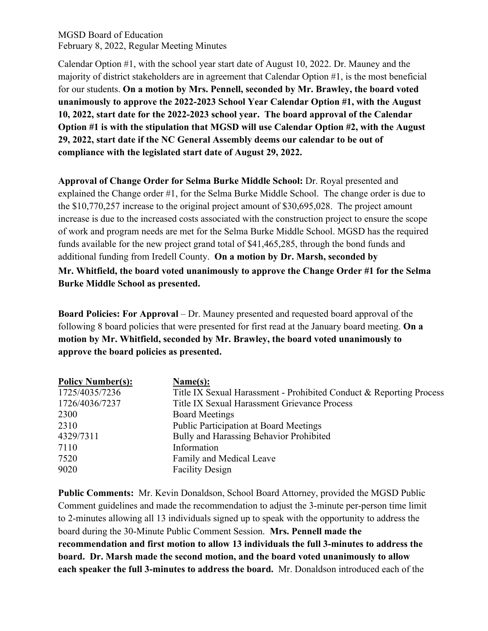Calendar Option #1, with the school year start date of August 10, 2022. Dr. Mauney and the majority of district stakeholders are in agreement that Calendar Option #1, is the most beneficial for our students. **On a motion by Mrs. Pennell, seconded by Mr. Brawley, the board voted unanimously to approve the 2022-2023 School Year Calendar Option #1, with the August 10, 2022, start date for the 2022-2023 school year. The board approval of the Calendar Option #1 is with the stipulation that MGSD will use Calendar Option #2, with the August 29, 2022, start date if the NC General Assembly deems our calendar to be out of compliance with the legislated start date of August 29, 2022.**

**Approval of Change Order for Selma Burke Middle School:** Dr. Royal presented and explained the Change order #1, for the Selma Burke Middle School. The change order is due to the \$10,770,257 increase to the original project amount of \$30,695,028. The project amount increase is due to the increased costs associated with the construction project to ensure the scope of work and program needs are met for the Selma Burke Middle School. MGSD has the required funds available for the new project grand total of \$41,465,285, through the bond funds and additional funding from Iredell County. **On a motion by Dr. Marsh, seconded by Mr. Whitfield, the board voted unanimously to approve the Change Order #1 for the Selma Burke Middle School as presented.** 

**Board Policies: For Approval** – Dr. Mauney presented and requested board approval of the following 8 board policies that were presented for first read at the January board meeting. **On a motion by Mr. Whitfield, seconded by Mr. Brawley, the board voted unanimously to approve the board policies as presented.**

| <b>Policy Number(s):</b> | Name(s):                                                            |
|--------------------------|---------------------------------------------------------------------|
| 1725/4035/7236           | Title IX Sexual Harassment - Prohibited Conduct & Reporting Process |
| 1726/4036/7237           | Title IX Sexual Harassment Grievance Process                        |
| 2300                     | <b>Board Meetings</b>                                               |
| 2310                     | <b>Public Participation at Board Meetings</b>                       |
| 4329/7311                | Bully and Harassing Behavior Prohibited                             |
| 7110                     | Information                                                         |
| 7520                     | Family and Medical Leave                                            |
| 9020                     | <b>Facility Design</b>                                              |

**Public Comments:** Mr. Kevin Donaldson, School Board Attorney, provided the MGSD Public Comment guidelines and made the recommendation to adjust the 3-minute per-person time limit to 2-minutes allowing all 13 individuals signed up to speak with the opportunity to address the board during the 30-Minute Public Comment Session. **Mrs. Pennell made the recommendation and first motion to allow 13 individuals the full 3-minutes to address the board. Dr. Marsh made the second motion, and the board voted unanimously to allow each speaker the full 3-minutes to address the board.** Mr. Donaldson introduced each of the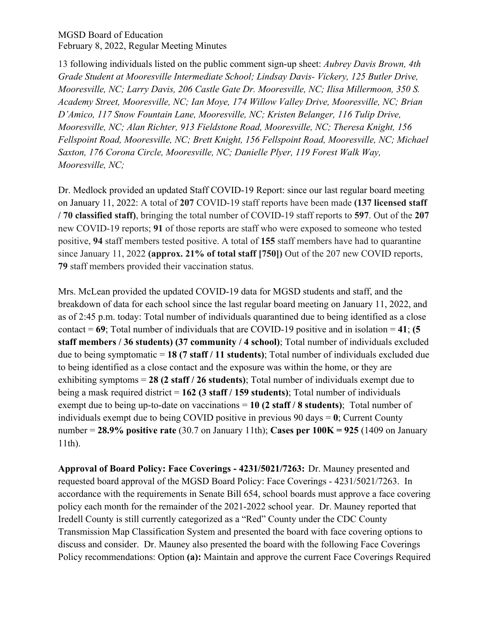13 following individuals listed on the public comment sign-up sheet: *Aubrey Davis Brown, 4th Grade Student at Mooresville Intermediate School; Lindsay Davis- Vickery, 125 Butler Drive, Mooresville, NC; Larry Davis, 206 Castle Gate Dr. Mooresville, NC; Ilisa Millermoon, 350 S. Academy Street, Mooresville, NC; Ian Moye, 174 Willow Valley Drive, Mooresville, NC; Brian D'Amico, 117 Snow Fountain Lane, Mooresville, NC; Kristen Belanger, 116 Tulip Drive, Mooresville, NC; Alan Richter, 913 Fieldstone Road, Mooresville, NC; Theresa Knight, 156 Fellspoint Road, Mooresville, NC; Brett Knight, 156 Fellspoint Road, Mooresville, NC; Michael Saxton, 176 Corona Circle, Mooresville, NC; Danielle Plyer, 119 Forest Walk Way, Mooresville, NC;*

Dr. Medlock provided an updated Staff COVID-19 Report: since our last regular board meeting on January 11, 2022: A total of **207** COVID-19 staff reports have been made **(137 licensed staff / 70 classified staff)**, bringing the total number of COVID-19 staff reports to **597**. Out of the **207** new COVID-19 reports; **91** of those reports are staff who were exposed to someone who tested positive, **94** staff members tested positive. A total of **155** staff members have had to quarantine since January 11, 2022 **(approx. 21% of total staff [750])** Out of the 207 new COVID reports, **79** staff members provided their vaccination status.

Mrs. McLean provided the updated COVID-19 data for MGSD students and staff, and the breakdown of data for each school since the last regular board meeting on January 11, 2022, and as of 2:45 p.m. today: Total number of individuals quarantined due to being identified as a close contact = **69**; Total number of individuals that are COVID-19 positive and in isolation = **41**; **(5 staff members / 36 students) (37 community / 4 school)**; Total number of individuals excluded due to being symptomatic = **18 (7 staff / 11 students)**; Total number of individuals excluded due to being identified as a close contact and the exposure was within the home, or they are exhibiting symptoms = **28 (2 staff / 26 students)**; Total number of individuals exempt due to being a mask required district = **162 (3 staff / 159 students)**; Total number of individuals exempt due to being up-to-date on vaccinations = **10 (2 staff / 8 students)**;Total number of individuals exempt due to being COVID positive in previous 90 days = **0**; Current County number = **28.9% positive rate** (30.7 on January 11th); **Cases per 100K = 925** (1409 on January 11th).

**Approval of Board Policy: Face Coverings - 4231/5021/7263:** Dr. Mauney presented and requested board approval of the MGSD Board Policy: Face Coverings - 4231/5021/7263. In accordance with the requirements in Senate Bill 654, school boards must approve a face covering policy each month for the remainder of the 2021-2022 school year. Dr. Mauney reported that Iredell County is still currently categorized as a "Red" County under the CDC County Transmission Map Classification System and presented the board with face covering options to discuss and consider. Dr. Mauney also presented the board with the following Face Coverings Policy recommendations: Option **(a):** Maintain and approve the current Face Coverings Required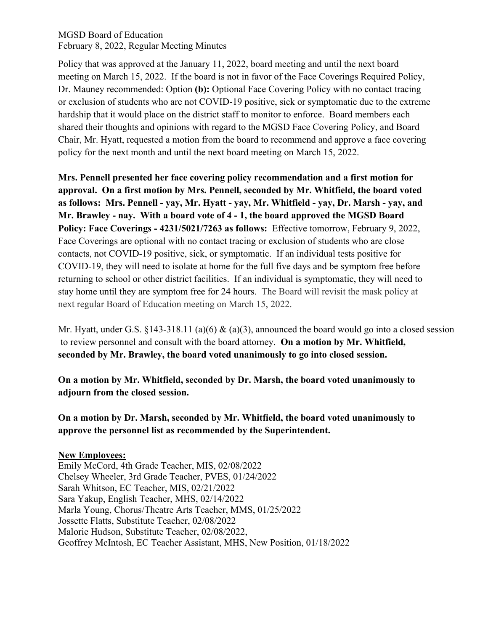Policy that was approved at the January 11, 2022, board meeting and until the next board meeting on March 15, 2022. If the board is not in favor of the Face Coverings Required Policy, Dr. Mauney recommended: Option **(b):** Optional Face Covering Policy with no contact tracing or exclusion of students who are not COVID-19 positive, sick or symptomatic due to the extreme hardship that it would place on the district staff to monitor to enforce. Board members each shared their thoughts and opinions with regard to the MGSD Face Covering Policy, and Board Chair, Mr. Hyatt, requested a motion from the board to recommend and approve a face covering policy for the next month and until the next board meeting on March 15, 2022.

**Mrs. Pennell presented her face covering policy recommendation and a first motion for approval. On a first motion by Mrs. Pennell, seconded by Mr. Whitfield, the board voted as follows: Mrs. Pennell - yay, Mr. Hyatt - yay, Mr. Whitfield - yay, Dr. Marsh - yay, and Mr. Brawley - nay. With a board vote of 4 - 1, the board approved the MGSD Board Policy: Face Coverings - 4231/5021/7263 as follows:** Effective tomorrow, February 9, 2022, Face Coverings are optional with no contact tracing or exclusion of students who are close contacts, not COVID-19 positive, sick, or symptomatic. If an individual tests positive for COVID-19, they will need to isolate at home for the full five days and be symptom free before returning to school or other district facilities. If an individual is symptomatic, they will need to stay home until they are symptom free for 24 hours. The Board will revisit the mask policy at next regular Board of Education meeting on March 15, 2022.

Mr. Hyatt, under G.S. §143-318.11 (a)(6)  $\&$  (a)(3), announced the board would go into a closed session to review personnel and consult with the board attorney. **On a motion by Mr. Whitfield, seconded by Mr. Brawley, the board voted unanimously to go into closed session.**

**On a motion by Mr. Whitfield, seconded by Dr. Marsh, the board voted unanimously to adjourn from the closed session.**

**On a motion by Dr. Marsh, seconded by Mr. Whitfield, the board voted unanimously to approve the personnel list as recommended by the Superintendent.**

**New Employees:** Emily McCord, 4th Grade Teacher, MIS, 02/08/2022 Chelsey Wheeler, 3rd Grade Teacher, PVES, 01/24/2022 Sarah Whitson, EC Teacher, MIS, 02/21/2022 Sara Yakup, English Teacher, MHS, 02/14/2022 Marla Young, Chorus/Theatre Arts Teacher, MMS, 01/25/2022 Jossette Flatts, Substitute Teacher, 02/08/2022 Malorie Hudson, Substitute Teacher, 02/08/2022, Geoffrey McIntosh, EC Teacher Assistant, MHS, New Position, 01/18/2022